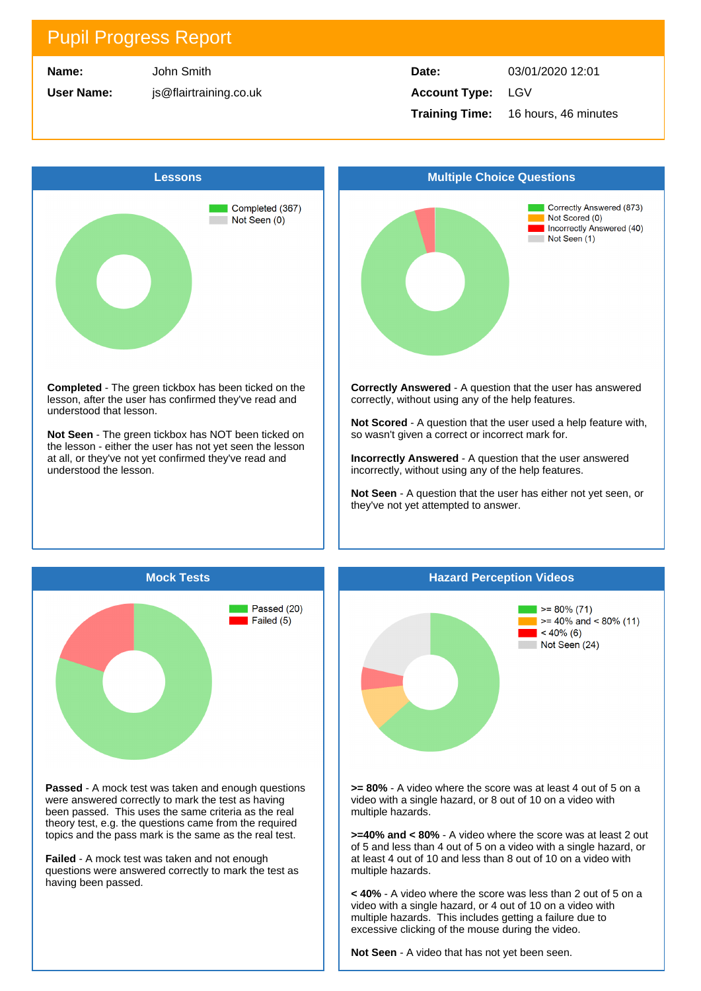| Name: |
|-------|
|-------|

**User Name:**

John Smith js@flairtraining.co.uk

### **Date:** 03/01/2020 12:01 **Account Type:** LGV **Training Time:** 16 hours, 46 minutes



lesson, after the user has confirmed they've read and understood that lesson.

**Not Seen** - The green tickbox has NOT been ticked on the lesson - either the user has not yet seen the lesson at all, or they've not yet confirmed they've read and understood the lesson.



**Correctly Answered** - A question that the user has answered correctly, without using any of the help features.

**Not Scored** - A question that the user used a help feature with, so wasn't given a correct or incorrect mark for.

**Incorrectly Answered** - A question that the user answered incorrectly, without using any of the help features.

**Not Seen** - A question that the user has either not yet seen, or they've not yet attempted to answer.



**Passed** - A mock test was taken and enough questions were answered correctly to mark the test as having been passed. This uses the same criteria as the real theory test, e.g. the questions came from the required topics and the pass mark is the same as the real test.

**Failed** - A mock test was taken and not enough questions were answered correctly to mark the test as having been passed.



**>= 80%** - A video where the score was at least 4 out of 5 on a video with a single hazard, or 8 out of 10 on a video with multiple hazards.

**>=40% and < 80%** - A video where the score was at least 2 out of 5 and less than 4 out of 5 on a video with a single hazard, or at least 4 out of 10 and less than 8 out of 10 on a video with multiple hazards.

**< 40%** - A video where the score was less than 2 out of 5 on a video with a single hazard, or 4 out of 10 on a video with multiple hazards. This includes getting a failure due to excessive clicking of the mouse during the video.

**Not Seen** - A video that has not yet been seen.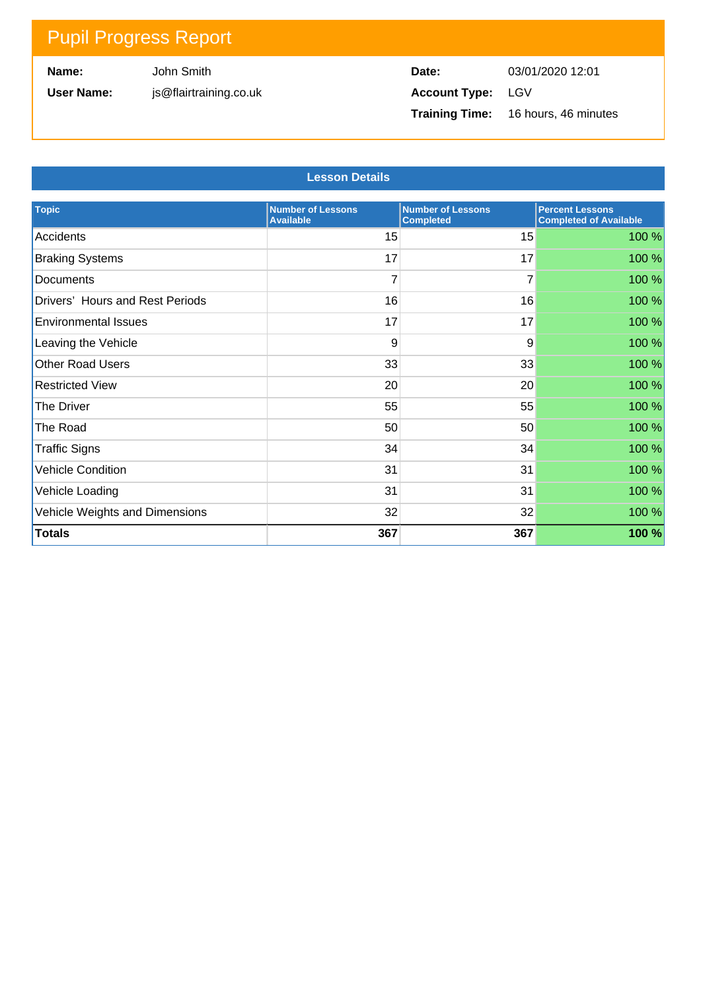**Name:**

**User Name:**

John Smith js@flairtraining.co.uk

| Date:                    | 03/01/2020 12:01                           |
|--------------------------|--------------------------------------------|
| <b>Account Type:</b> LGV |                                            |
|                          | <b>Training Time:</b> 16 hours, 46 minutes |

#### **Lesson Details**

| <b>Topic</b>                    | <b>Number of Lessons</b><br><b>Available</b> | <b>Number of Lessons</b><br><b>Completed</b> | <b>Percent Lessons</b><br><b>Completed of Available</b> |
|---------------------------------|----------------------------------------------|----------------------------------------------|---------------------------------------------------------|
| Accidents                       | 15                                           | 15                                           | 100 %                                                   |
| <b>Braking Systems</b>          | 17                                           | 17                                           | 100 %                                                   |
| Documents                       | 7                                            | 7                                            | 100 %                                                   |
| Drivers' Hours and Rest Periods | 16                                           | 16                                           | 100 %                                                   |
| <b>Environmental Issues</b>     | 17                                           | 17                                           | 100 %                                                   |
| Leaving the Vehicle             | 9                                            | 9                                            | 100 %                                                   |
| Other Road Users                | 33                                           | 33                                           | 100 %                                                   |
| <b>Restricted View</b>          | 20                                           | 20                                           | 100 %                                                   |
| The Driver                      | 55                                           | 55                                           | 100 %                                                   |
| The Road                        | 50                                           | 50                                           | 100 %                                                   |
| <b>Traffic Signs</b>            | 34                                           | 34                                           | 100 %                                                   |
| <b>Vehicle Condition</b>        | 31                                           | 31                                           | 100 %                                                   |
| Vehicle Loading                 | 31                                           | 31                                           | 100 %                                                   |
| Vehicle Weights and Dimensions  | 32                                           | 32                                           | 100 %                                                   |
| <b>Totals</b>                   | 367                                          | 367                                          | 100 %                                                   |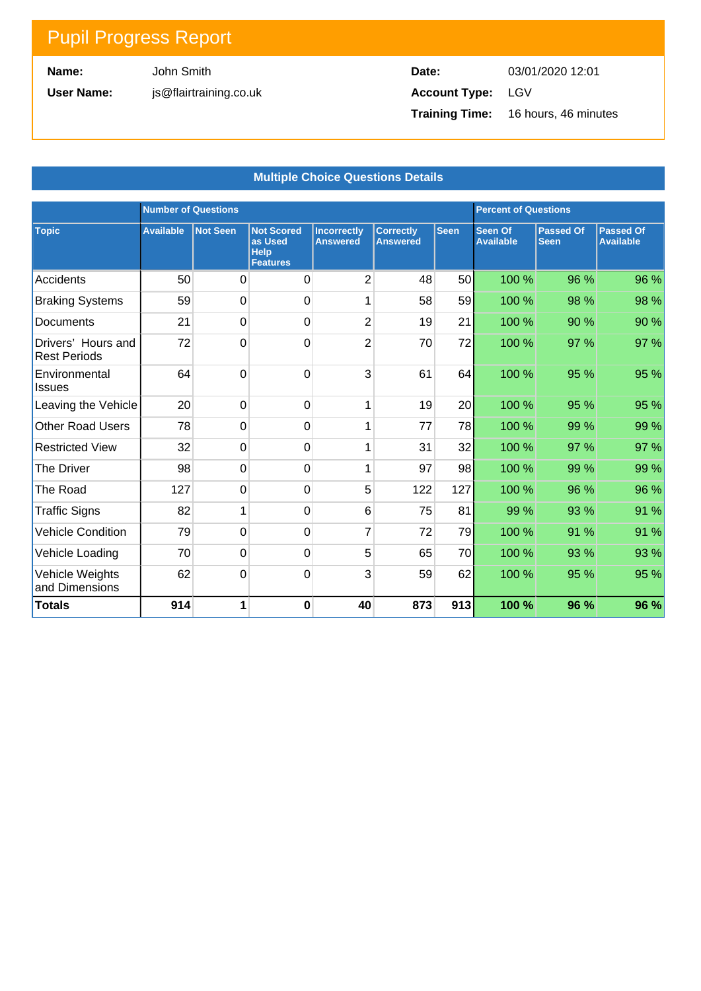**Name:**

**User Name:**

John Smith js@flairtraining.co.uk

| Date:                    | 03/01/2020 12:01                           |
|--------------------------|--------------------------------------------|
| <b>Account Type: LGV</b> |                                            |
|                          | <b>Training Time:</b> 16 hours, 46 minutes |

#### **Multiple Choice Questions Details**

|                                           | <b>Number of Questions</b> |                 |                                                                | <b>Percent of Questions</b>           |                                     |             |                             |                                 |                                      |
|-------------------------------------------|----------------------------|-----------------|----------------------------------------------------------------|---------------------------------------|-------------------------------------|-------------|-----------------------------|---------------------------------|--------------------------------------|
| <b>Topic</b>                              | <b>Available</b>           | <b>Not Seen</b> | <b>Not Scored</b><br>as Used<br><b>Help</b><br><b>Features</b> | <b>Incorrectly</b><br><b>Answered</b> | <b>Correctly</b><br><b>Answered</b> | <b>Seen</b> | Seen Of<br><b>Available</b> | <b>Passed Of</b><br><b>Seen</b> | <b>Passed Of</b><br><b>Available</b> |
| Accidents                                 | 50                         | 0               | $\Omega$                                                       | $\overline{2}$                        | 48                                  | 50          | 100 %                       | 96 %                            | 96 %                                 |
| <b>Braking Systems</b>                    | 59                         | 0               | $\mathbf 0$                                                    |                                       | 58                                  | 59          | 100 %                       | 98 %                            | 98 %                                 |
| Documents                                 | 21                         | 0               | $\mathbf 0$                                                    | $\overline{2}$                        | 19                                  | 21          | 100 %                       | 90 %                            | 90 %                                 |
| Drivers' Hours and<br><b>Rest Periods</b> | 72                         | 0               | $\mathbf 0$                                                    | $\overline{2}$                        | 70                                  | 72          | 100 %                       | 97 %                            | 97 %                                 |
| Environmental<br><b>Issues</b>            | 64                         | 0               | $\mathbf 0$                                                    | 3                                     | 61                                  | 64          | 100 %                       | 95 %                            | 95 %                                 |
| Leaving the Vehicle                       | 20                         | 0               | $\overline{0}$                                                 | 1                                     | 19                                  | 20          | 100 %                       | 95 %                            | 95 %                                 |
| <b>Other Road Users</b>                   | 78                         | 0               | $\mathbf 0$                                                    | 1                                     | 77                                  | 78          | 100 %                       | 99 %                            | 99 %                                 |
| <b>Restricted View</b>                    | 32                         | $\mathbf 0$     | $\mathbf 0$                                                    | 1                                     | 31                                  | 32          | 100 %                       | 97 %                            | 97 %                                 |
| <b>The Driver</b>                         | 98                         | 0               | $\mathbf 0$                                                    | 1                                     | 97                                  | 98          | 100 %                       | 99 %                            | 99 %                                 |
| The Road                                  | 127                        | 0               | $\mathbf 0$                                                    | 5                                     | 122                                 | 127         | 100 %                       | 96 %                            | 96 %                                 |
| <b>Traffic Signs</b>                      | 82                         | 1               | $\mathbf 0$                                                    | 6                                     | 75                                  | 81          | 99 %                        | 93 %                            | 91 %                                 |
| <b>Vehicle Condition</b>                  | 79                         | 0               | $\mathbf 0$                                                    | $\overline{7}$                        | 72                                  | 79          | 100 %                       | 91 %                            | 91 %                                 |
| Vehicle Loading                           | 70                         | 0               | $\mathbf 0$                                                    | 5                                     | 65                                  | 70          | 100 %                       | 93 %                            | 93 %                                 |
| Vehicle Weights<br>and Dimensions         | 62                         | 0               | $\mathbf 0$                                                    | 3                                     | 59                                  | 62          | 100 %                       | 95 %                            | 95 %                                 |
| <b>Totals</b>                             | 914                        | 1               | $\bf{0}$                                                       | 40                                    | 873                                 | 913         | 100 %                       | 96 %                            | 96 %                                 |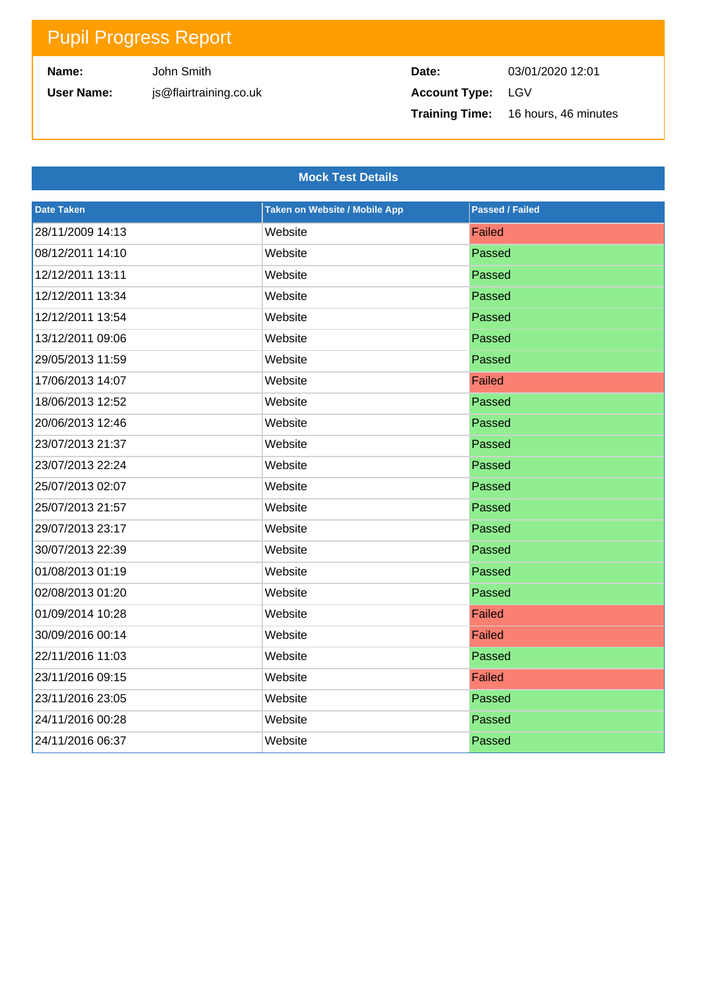**Name:**

**User Name:**

```
John Smith
js@flairtraining.co.uk
```
### **Date:** 03/01/2020 12:01 **Account Type:** LGV **Training Time:** 16 hours, 46 minutes

#### **Mock Test Details**

| <b>Date Taken</b> | <b>Taken on Website / Mobile App</b> | <b>Passed / Failed</b> |
|-------------------|--------------------------------------|------------------------|
| 28/11/2009 14:13  | Website                              | Failed                 |
| 08/12/2011 14:10  | Website                              | Passed                 |
| 12/12/2011 13:11  | Website                              | Passed                 |
| 12/12/2011 13:34  | Website                              | Passed                 |
| 12/12/2011 13:54  | Website                              | Passed                 |
| 13/12/2011 09:06  | Website                              | Passed                 |
| 29/05/2013 11:59  | Website                              | Passed                 |
| 17/06/2013 14:07  | Website                              | Failed                 |
| 18/06/2013 12:52  | Website                              | Passed                 |
| 20/06/2013 12:46  | Website                              | Passed                 |
| 23/07/2013 21:37  | Website                              | Passed                 |
| 23/07/2013 22:24  | Website                              | Passed                 |
| 25/07/2013 02:07  | Website                              | Passed                 |
| 25/07/2013 21:57  | Website                              | Passed                 |
| 29/07/2013 23:17  | Website                              | Passed                 |
| 30/07/2013 22:39  | Website                              | Passed                 |
| 01/08/2013 01:19  | Website                              | Passed                 |
| 02/08/2013 01:20  | Website                              | Passed                 |
| 01/09/2014 10:28  | Website                              | Failed                 |
| 30/09/2016 00:14  | Website                              | Failed                 |
| 22/11/2016 11:03  | Website                              | Passed                 |
| 23/11/2016 09:15  | Website                              | Failed                 |
| 23/11/2016 23:05  | Website                              | Passed                 |
| 24/11/2016 00:28  | Website                              | Passed                 |
| 24/11/2016 06:37  | Website                              | Passed                 |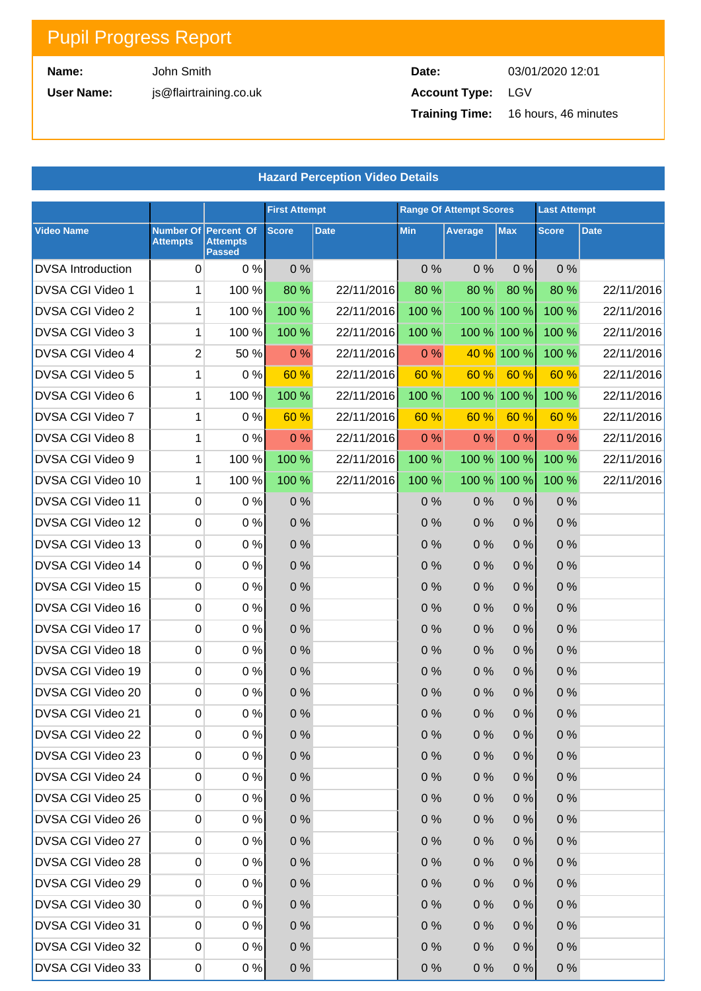**Name:**

**User Name:**

John Smith js@flairtraining.co.uk

| Date:             | 03/01/2020 12:01                           |
|-------------------|--------------------------------------------|
| Account Type: LGV |                                            |
|                   | <b>Training Time:</b> 16 hours, 46 minutes |

| <b>Hazard Perception Video Details</b> |                              |                                                |                      |             |            |                                |             |                     |             |  |
|----------------------------------------|------------------------------|------------------------------------------------|----------------------|-------------|------------|--------------------------------|-------------|---------------------|-------------|--|
|                                        |                              |                                                | <b>First Attempt</b> |             |            | <b>Range Of Attempt Scores</b> |             | <b>Last Attempt</b> |             |  |
| <b>Video Name</b>                      | Number Of<br><b>Attempts</b> | Percent Of<br><b>Attempts</b><br><b>Passed</b> | <b>Score</b>         | <b>Date</b> | <b>Min</b> | Average                        | <b>Max</b>  | <b>Score</b>        | <b>Date</b> |  |
| <b>DVSA</b> Introduction               | 0                            | 0%                                             | 0%                   |             | 0%         | 0%                             | 0%          | 0%                  |             |  |
| DVSA CGI Video 1                       | 1                            | 100 %                                          | 80 %                 | 22/11/2016  | 80 %       | 80 %                           | 80 %        | 80 %                | 22/11/2016  |  |
| DVSA CGI Video 2                       | 1                            | 100 %                                          | 100 %                | 22/11/2016  | 100 %      |                                | 100 % 100 % | 100 %               | 22/11/2016  |  |
| DVSA CGI Video 3                       | 1                            | 100 %                                          | 100 %                | 22/11/2016  | 100 %      |                                | 100 % 100 % | 100 %               | 22/11/2016  |  |
| DVSA CGI Video 4                       | $\overline{2}$               | 50 %                                           | 0%                   | 22/11/2016  | 0%         | 40 %                           | 100 %       | 100 %               | 22/11/2016  |  |
| DVSA CGI Video 5                       | 1                            | 0%                                             | 60 %                 | 22/11/2016  | 60 %       | 60 %                           | 60 %        | 60 %                | 22/11/2016  |  |
| DVSA CGI Video 6                       | 1                            | 100 %                                          | 100 %                | 22/11/2016  | 100 %      | 100 %                          | 100%        | 100 %               | 22/11/2016  |  |
| DVSA CGI Video 7                       | 1                            | 0%                                             | 60 %                 | 22/11/2016  | 60 %       | 60 %                           | 60 %        | 60 %                | 22/11/2016  |  |
| DVSA CGI Video 8                       | 1                            | 0%                                             | 0%                   | 22/11/2016  | 0%         | 0%                             | 0%          | 0%                  | 22/11/2016  |  |
| DVSA CGI Video 9                       | 1                            | 100 %                                          | 100 %                | 22/11/2016  | 100 %      |                                | 100 % 100 % | 100 %               | 22/11/2016  |  |
| DVSA CGI Video 10                      | 1                            | 100 %                                          | 100 %                | 22/11/2016  | 100 %      |                                | 100 % 100 % | 100 %               | 22/11/2016  |  |
| DVSA CGI Video 11                      | 0                            | 0%                                             | 0%                   |             | 0%         | 0%                             | 0%          | 0%                  |             |  |
| DVSA CGI Video 12                      | 0                            | 0%                                             | 0%                   |             | 0%         | 0%                             | 0%          | $0\%$               |             |  |
| DVSA CGI Video 13                      | 0                            | $0\%$                                          | 0%                   |             | 0%         | 0%                             | 0%          | 0%                  |             |  |
| DVSA CGI Video 14                      | 0                            | $0\%$                                          | 0%                   |             | 0%         | 0%                             | 0%          | $0\%$               |             |  |
| DVSA CGI Video 15                      | 0                            | $0\%$                                          | 0%                   |             | 0%         | 0%                             | 0%          | 0%                  |             |  |
| DVSA CGI Video 16                      | 0                            | $0\%$                                          | 0%                   |             | 0%         | 0%                             | 0%          | $0\%$               |             |  |
| DVSA CGI Video 17                      | 0                            | 0%                                             | 0%                   |             | 0%         | 0%                             | 0%          | 0%                  |             |  |
| DVSA CGI Video 18                      | 0                            | 0%                                             | 0%                   |             | 0%         | 0%                             | 0%          | $0\%$               |             |  |
| DVSA CGI Video 19                      | 0                            | 0%                                             | 0%                   |             | 0%         | 0%                             | 0%          | 0%                  |             |  |
| DVSA CGI Video 20                      | 0                            | 0%                                             | $0\%$                |             | 0%         | 0%                             | 0%          | 0%                  |             |  |
| DVSA CGI Video 21                      | 0                            | 0%                                             | 0%                   |             | 0%         | 0%                             | 0%          | $0\%$               |             |  |
| DVSA CGI Video 22                      | 0                            | 0%                                             | 0%                   |             | 0%         | 0%                             | 0%          | $0\%$               |             |  |
| DVSA CGI Video 23                      | 0                            | 0%                                             | 0%                   |             | 0%         | 0%                             | 0%          | 0%                  |             |  |
| DVSA CGI Video 24                      | 0                            | 0%                                             | 0%                   |             | 0%         | 0%                             | 0%          | $0\%$               |             |  |
| DVSA CGI Video 25                      | 0                            | 0%                                             | 0%                   |             | 0%         | 0%                             | 0%          | 0%                  |             |  |
| DVSA CGI Video 26                      | 0                            | 0%                                             | 0%                   |             | 0%         | 0%                             | 0%          | $0\%$               |             |  |
| DVSA CGI Video 27                      | 0                            | 0%                                             | 0%                   |             | 0%         | 0%                             | 0%          | $0\%$               |             |  |
| DVSA CGI Video 28                      | 0                            | 0%                                             | 0%                   |             | 0%         | 0%                             | 0%          | $0\%$               |             |  |
| DVSA CGI Video 29                      | 0                            | 0%                                             | 0%                   |             | 0%         | 0%                             | 0%          | $0\%$               |             |  |
| DVSA CGI Video 30                      | 0                            | 0%                                             | 0%                   |             | 0%         | 0%                             | 0%          | $0\%$               |             |  |
| DVSA CGI Video 31                      | 0                            | 0%                                             | 0%                   |             | 0%         | 0%                             | 0%          | $0\%$               |             |  |
| DVSA CGI Video 32                      | 0                            | 0%                                             | 0%                   |             | 0%         | 0%                             | 0%          | $0\%$               |             |  |
| DVSA CGI Video 33                      | $\overline{0}$               | 0%                                             | 0%                   |             | 0%         | 0%                             | 0%          | 0%                  |             |  |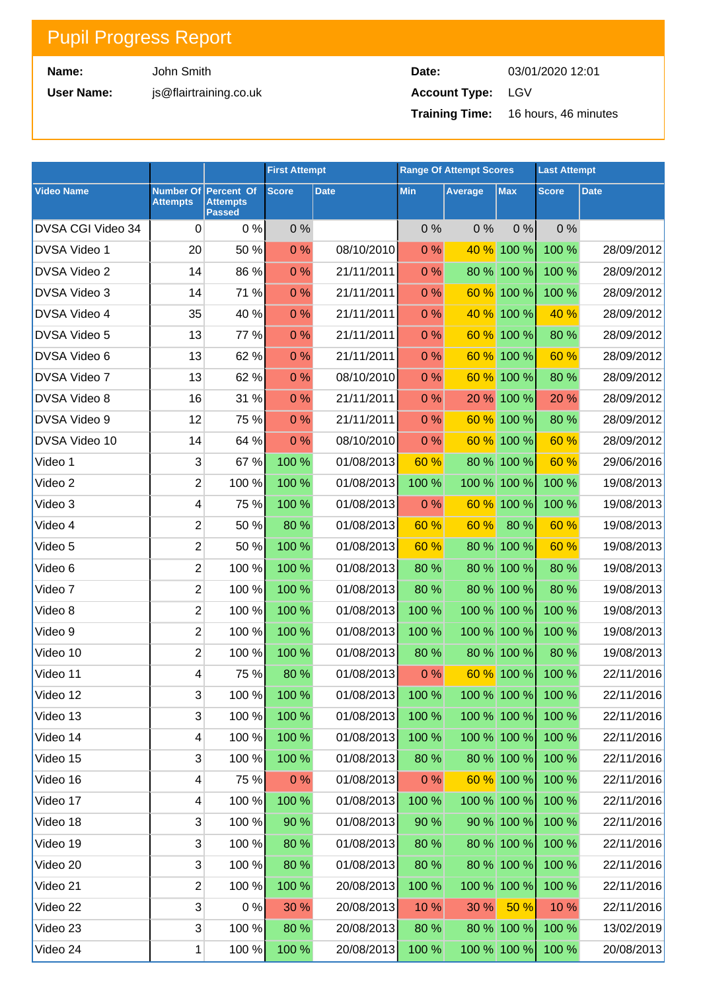**Name:**

**User Name:**

John Smith js@flairtraining.co.uk

**Date:** 03/01/2020 12:01 **Account Type:** LGV **Training Time:** 16 hours, 46 minutes

|                     |                         |                                                          | <b>First Attempt</b> |                                      |            | <b>Range Of Attempt Scores</b> |              | <b>Last Attempt</b> |             |
|---------------------|-------------------------|----------------------------------------------------------|----------------------|--------------------------------------|------------|--------------------------------|--------------|---------------------|-------------|
| <b>Video Name</b>   | <b>Attempts</b>         | Number Of Percent Of<br><b>Attempts</b><br><b>Passed</b> | <b>Score</b>         | <b>Date</b>                          | <b>Min</b> | Average                        | <b>Max</b>   | <b>Score</b>        | <b>Date</b> |
| DVSA CGI Video 34   | 0                       | 0%                                                       | 0%                   |                                      | 0%         | 0%                             | 0%           | 0%                  |             |
| <b>DVSA Video 1</b> | 20                      | 50 %                                                     | 0%                   | 08/10/2010                           | 0%         | 40 %                           | 100 %        | 100 %               | 28/09/2012  |
| <b>DVSA Video 2</b> | 14                      | 86 %                                                     | 0%                   | 21/11/2011                           | 0%         |                                | 80 % 100 %   | 100 %               | 28/09/2012  |
| <b>DVSA Video 3</b> | 14                      | 71 %                                                     | 0%                   | 21/11/2011                           | 0%         | 60 %                           | 100 %        | 100 %               | 28/09/2012  |
| <b>DVSA Video 4</b> | 35                      | 40 %                                                     | 0%                   | 21/11/2011                           | 0%         | 40 %                           | 100 %        | 40 %                | 28/09/2012  |
| <b>DVSA Video 5</b> | 13                      | 77 %                                                     | 0%                   | 21/11/2011                           | 0%         | 60 %                           | 100 %        | 80 %                | 28/09/2012  |
| DVSA Video 6        | 13                      | 62 %                                                     | 0%                   | 21/11/2011                           | 0%         | 60 %                           | 100 %        | 60 %                | 28/09/2012  |
| DVSA Video 7        | 13                      | 62 %                                                     | 0%                   | 08/10/2010                           | 0%         | 60 %                           | 100 %        | 80 %                | 28/09/2012  |
| <b>DVSA Video 8</b> | 16                      | 31 %                                                     | 0%                   | 21/11/2011                           | 0%         | 20 %                           | 100 %        | 20 %                | 28/09/2012  |
| DVSA Video 9        | 12                      | 75 %                                                     | 0%                   | 21/11/2011                           | 0%         | 60 %                           | 100 %        | 80 %                | 28/09/2012  |
| DVSA Video 10       | 14                      | 64 %                                                     | 0%                   | 08/10/2010                           | 0%         | 60 %                           | 100 %        | 60 %                | 28/09/2012  |
| Video 1             | $\mathfrak{S}$          | 67%                                                      | 100 %                | 01/08/2013                           | 60 %       |                                | 80 % 100 %   | 60 %                | 29/06/2016  |
| Video 2             | $\overline{2}$          | 100 %                                                    | 100 %                | 01/08/2013                           | 100 %      |                                | 100 % 100 %  | 100 %               | 19/08/2013  |
| Video 3             | $\overline{\mathbf{4}}$ | 75 %                                                     | 100 %                | 01/08/2013                           | 0%         | 60 %                           | 100 %        | 100 %               | 19/08/2013  |
| Video 4             | $\overline{2}$          | 50%                                                      | 80 %                 | 01/08/2013                           | 60 %       | 60 %                           | 80 %         | 60 %                | 19/08/2013  |
| Video 5             | $\overline{2}$          | 50%                                                      | 100 %                | 01/08/2013                           | 60 %       |                                | 80 % 100 %   | 60 %                | 19/08/2013  |
| Video 6             | $\overline{2}$          | 100 %                                                    | 100 %                | 01/08/2013                           | 80 %       |                                | 80 % 100 %   | 80 %                | 19/08/2013  |
| Video 7             | $\overline{2}$          | 100 %                                                    | 100 %                | 01/08/2013                           | 80 %       |                                | 80 % 100 %   | 80 %                | 19/08/2013  |
| Video 8             | $\overline{2}$          | 100 %                                                    | 100 %                | 01/08/2013                           | 100 %      |                                | 100 % 100 %  | 100 %               | 19/08/2013  |
| Video 9             | $\overline{2}$          | 100%                                                     | 100 %                | 01/08/2013                           | 100 %      |                                | 100 % 100 %  | 100 %               | 19/08/2013  |
| Video 10            | $\overline{2}$          | $100 \%$                                                 | 100 %                | 01/08/2013                           | 80 %       |                                | 80 % 100 %   | 80 %                | 19/08/2013  |
| Video 11            | $\overline{4}$          | 75 %                                                     | 80 %                 | 01/08/2013                           | 0%         |                                | 60 % 100 %   | 100 %               | 22/11/2016  |
| Video 12            | 3                       |                                                          | 100 % 100 %          | $01/08/2013$ 100 % 100 % 100 % 100 % |            |                                |              |                     | 22/11/2016  |
| Video 13            | 3                       | $100 \%$                                                 | 100 %                | 01/08/2013                           | 100 %      |                                | 100 % 100 %  | 100 %               | 22/11/2016  |
| Video 14            | 4                       | $100 \%$                                                 | 100 %                | 01/08/2013                           | 100 %      |                                |              | 100 % 100 % 100 %   | 22/11/2016  |
| Video 15            | 3                       | $100 \%$                                                 | 100 %                | 01/08/2013                           | 80 %       |                                | 80 % 100 %   | 100%                | 22/11/2016  |
| Video 16            | 4                       | 75%                                                      | 0%                   | 01/08/2013                           | 0%         |                                | $60\%$ 100 % | 100 %               | 22/11/2016  |
| Video 17            | 4                       | $100 \%$                                                 | 100 %                | 01/08/2013                           | 100 %      |                                | 100 % 100 %  | 100 %               | 22/11/2016  |
| Video 18            | 3                       | $100 \%$                                                 | 90 %                 | 01/08/2013                           | 90 %       |                                | 90 % 100 %   | 100 %               | 22/11/2016  |
| Video 19            | 3                       | $100 \%$                                                 | 80 %                 | 01/08/2013                           | 80 %       |                                | 80 % 100 %   | 100 %               | 22/11/2016  |
| Video 20            | 3                       | $100 \%$                                                 | 80 %                 | 01/08/2013                           | 80 %       |                                | 80 % 100 %   | 100 %               | 22/11/2016  |
| Video 21            | 2                       | $100 \%$                                                 | 100 %                | 20/08/2013                           | 100 %      |                                | 100 % 100 %  | 100 %               | 22/11/2016  |
| Video 22            | $\mathbf{3}$            | 0%                                                       | 30 %                 | 20/08/2013                           | 10 %       | 30 %                           | 50%          | 10%                 | 22/11/2016  |
| Video 23            | 3                       | $100 \%$                                                 | 80 %                 | 20/08/2013                           | 80 %       |                                | 80 % 100 %   | 100 %               | 13/02/2019  |
| Video 24            | 1                       | $100 \%$                                                 | 100 %                | 20/08/2013                           | 100 %      |                                | 100 % 100 %  | 100 %               | 20/08/2013  |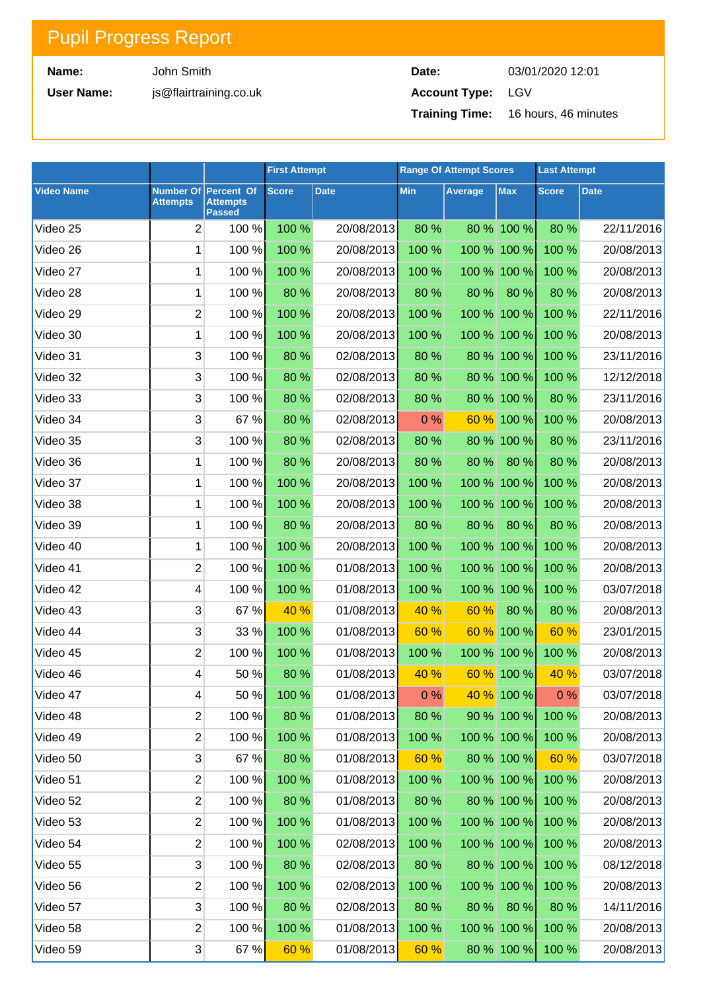**Name:**

**User Name:**

John Smith js@flairtraining.co.uk

| Date:                    | 03/01/2020 12:01                           |
|--------------------------|--------------------------------------------|
| <b>Account Type:</b> LGV |                                            |
|                          | <b>Training Time:</b> 16 hours, 46 minutes |

|                   |                                     |                                                | <b>First Attempt</b> |             | <b>Range Of Attempt Scores</b> |         | <b>Last Attempt</b>  |              |             |
|-------------------|-------------------------------------|------------------------------------------------|----------------------|-------------|--------------------------------|---------|----------------------|--------------|-------------|
| <b>Video Name</b> | <b>Number Of</b><br><b>Attempts</b> | Percent Of<br><b>Attempts</b><br><b>Passed</b> | <b>Score</b>         | <b>Date</b> | <b>Min</b>                     | Average | <b>Max</b>           | <b>Score</b> | <b>Date</b> |
| Video 25          | $\overline{2}$                      | 100 %                                          | 100 %                | 20/08/2013  | 80 %                           |         | 80 % 100 %           | 80 %         | 22/11/2016  |
| Video 26          | 1                                   | 100 %                                          | 100 %                | 20/08/2013  | 100 %                          |         | 100 % 100 %          | 100 %        | 20/08/2013  |
| Video 27          | 1                                   | 100 %                                          | 100 %                | 20/08/2013  | 100 %                          |         | 100 % 100 %          | 100 %        | 20/08/2013  |
| Video 28          | 1                                   | 100 %                                          | 80 %                 | 20/08/2013  | 80 %                           | 80 %    | 80 %                 | 80 %         | 20/08/2013  |
| Video 29          | $\overline{2}$                      | 100 %                                          | 100 %                | 20/08/2013  | 100 %                          |         | 100 % 100 %          | 100 %        | 22/11/2016  |
| Video 30          | 1                                   | 100 %                                          | 100 %                | 20/08/2013  | 100 %                          |         | 100 % 100 %          | 100 %        | 20/08/2013  |
| Video 31          | 3                                   | 100 %                                          | 80 %                 | 02/08/2013  | 80 %                           |         | 80 % 100 %           | 100 %        | 23/11/2016  |
| Video 32          | 3                                   | 100 %                                          | 80 %                 | 02/08/2013  | 80 %                           |         | 80 % 100 %           | 100 %        | 12/12/2018  |
| Video 33          | 3                                   | 100 %                                          | 80 %                 | 02/08/2013  | 80 %                           |         | 80 % 100 %           | 80 %         | 23/11/2016  |
| Video 34          | 3                                   | 67 %                                           | 80 %                 | 02/08/2013  | 0%                             | 60 %    | 100 %                | 100 %        | 20/08/2013  |
| Video 35          | 3                                   | 100 %                                          | 80 %                 | 02/08/2013  | 80 %                           |         | 80 % 100 %           | 80 %         | 23/11/2016  |
| Video 36          | 1                                   | 100 %                                          | 80 %                 | 20/08/2013  | 80 %                           | 80 %    | 80 %                 | 80 %         | 20/08/2013  |
| Video 37          | 1                                   | 100 %                                          | 100 %                | 20/08/2013  | 100 %                          |         | 100 % 100 %          | 100 %        | 20/08/2013  |
| Video 38          | 1                                   | 100 %                                          | 100 %                | 20/08/2013  | 100 %                          |         | 100 % 100 %          | 100 %        | 20/08/2013  |
| Video 39          | 1                                   | 100 %                                          | 80 %                 | 20/08/2013  | 80 %                           | 80 %    | 80 %                 | 80 %         | 20/08/2013  |
| Video 40          | 1                                   | 100 %                                          | 100 %                | 20/08/2013  | 100 %                          |         | 100 % 100 %          | 100 %        | 20/08/2013  |
| Video 41          | $\overline{2}$                      | 100 %                                          | 100 %                | 01/08/2013  | 100 %                          |         | 100 % 100 %          | 100 %        | 20/08/2013  |
| Video 42          | 4                                   | 100 %                                          | 100 %                | 01/08/2013  | 100 %                          |         | 100 % 100 %          | 100 %        | 03/07/2018  |
| Video 43          | 3                                   | 67 %                                           | 40 %                 | 01/08/2013  | 40 %                           | 60 %    | 80 %                 | 80 %         | 20/08/2013  |
| Video 44          | 3                                   | 33 %                                           | 100 %                | 01/08/2013  | 60 %                           | 60 %    | 100 %                | 60 %         | 23/01/2015  |
| Video 45          | $\overline{2}$                      | 100 %                                          | 100 %                | 01/08/2013  | 100 %                          |         | 100 % 100 %          | 100 %        | 20/08/2013  |
| Video 46          | 4                                   | 50 %                                           | 80 %                 | 01/08/2013  | 40 %                           | 60 %    | 100 %                | 40 %         | 03/07/2018  |
| Video 47          | $\overline{4}$                      | 50%                                            | 100 %                | 01/08/2013  | 0%                             |         | $\frac{40\%}{100\%}$ | 0%           | 03/07/2018  |
| Video 48          | 2                                   | 100 %                                          | 80 %                 | 01/08/2013  | 80 %                           |         | $90\%$ 100 %         | 100 %        | 20/08/2013  |
| Video 49          | 2                                   | 100 %                                          | 100 %                | 01/08/2013  | 100 %                          |         | 100 % 100 %          | 100 %        | 20/08/2013  |
| Video 50          | 3                                   | 67%                                            | 80 %                 | 01/08/2013  | 60%                            |         | $80\%$ 100 %         | 60%          | 03/07/2018  |
| Video 51          | 2                                   | 100 %                                          | 100 %                | 01/08/2013  | 100 %                          |         | 100 % 100 %          | 100 %        | 20/08/2013  |
| Video 52          | 2                                   | $100 \%$                                       | 80 %                 | 01/08/2013  | 80 %                           |         | 80 % 100 %           | 100 %        | 20/08/2013  |
| Video 53          | 2                                   | 100 %                                          | 100 %                | 01/08/2013  | 100 %                          |         | 100 % 100 %          | 100%         | 20/08/2013  |
| Video 54          | 2                                   | 100 %                                          | 100 %                | 02/08/2013  | 100 %                          |         | 100 % 100 %          | 100 %        | 20/08/2013  |
| Video 55          | 3                                   | 100 %                                          | 80 %                 | 02/08/2013  | 80 %                           |         | 80 % 100 %           | 100%         | 08/12/2018  |
| Video 56          | 2                                   | 100 %                                          | 100 %                | 02/08/2013  | 100 %                          |         | 100 % 100 %          | 100%         | 20/08/2013  |
| Video 57          | 3                                   | 100 %                                          | 80 %                 | 02/08/2013  | 80 %                           | 80 %    | 80%                  | 80 %         | 14/11/2016  |
| Video 58          | 2                                   | 100 %                                          | 100 %                | 01/08/2013  | 100 %                          |         | 100 % 100 %          | 100 %        | 20/08/2013  |
| Video 59          | 3                                   | 67 %                                           | 60 %                 | 01/08/2013  | 60%                            |         | 80 % 100 %           | 100 %        | 20/08/2013  |